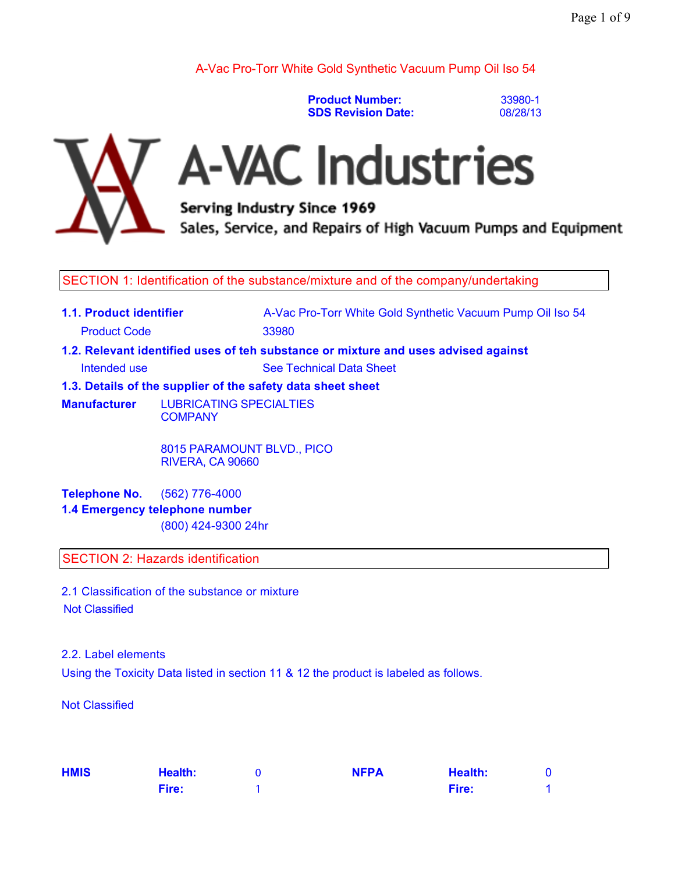A-Vac Pro-Torr White Gold Synthetic Vacuum Pump Oil Iso 54

**Product Number: SDS Revision Date:** 33980-1 08/28/13



# A-VAC Industries

Serving Industry Since 1969 Sales, Service, and Repairs of High Vacuum Pumps and Equipment

SECTION 1: Identification of the substance/mixture and of the company/undertaking

- **1.1. Product identifier A-Vac Pro-Torr White Gold Synthetic Vacuum Pump Oil Iso 54** Product Code 33980
- **1.2. Relevant identified uses of teh substance or mixture and uses advised against**

Intended use See Technical Data Sheet

**1.3. Details of the supplier of the safety data sheet sheet**

**Manufacturer** LUBRICATING SPECIALTIES **COMPANY** 

> 8015 PARAMOUNT BLVD., PICO RIVERA, CA 90660

**Telephone No.** (562) 776-4000 **1.4 Emergency telephone number** (800) 424-9300 24hr

SECTION 2: Hazards identification

2.1 Classification of the substance or mixture Not Classified

2.2. Label elements Using the Toxicity Data listed in section 11 & 12 the product is labeled as follows.

Not Classified

| <b>HMIS</b> | <b>Health:</b> | <b>NFPA</b> | <b>Health:</b> |  |
|-------------|----------------|-------------|----------------|--|
|             | Fire:          |             | Fire:          |  |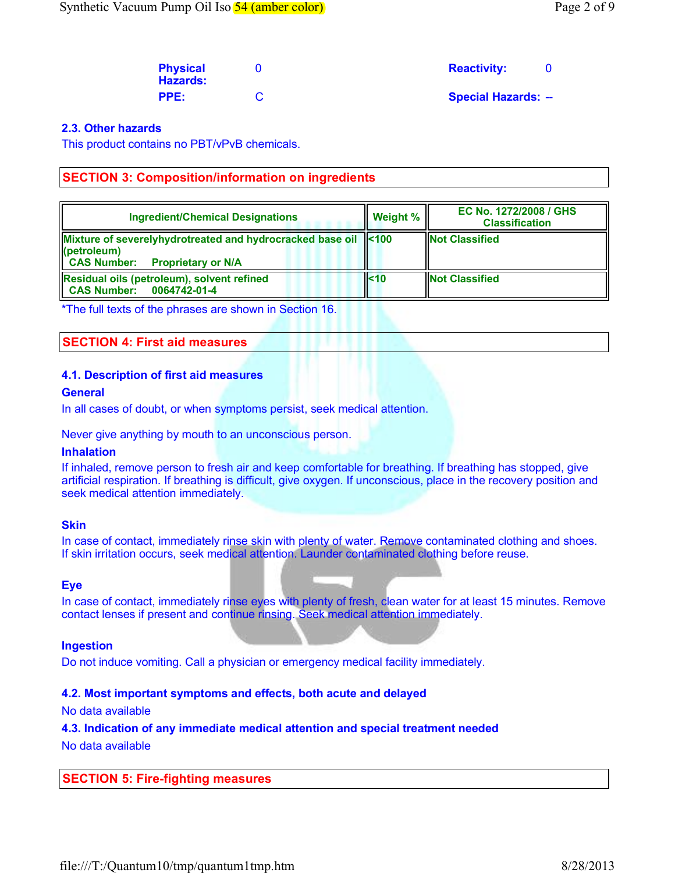| <b>Physical</b><br><b>Hazards:</b> | <b>Reactivity:</b>         |  |
|------------------------------------|----------------------------|--|
| PPE:                               | <b>Special Hazards: --</b> |  |

### 2.3. Other hazards

This product contains no PBT/vPvB chemicals.

## SECTION 3: Composition/information on ingredients

| <b>Ingredient/Chemical Designations</b>                                                                                               | Weight % | EC No. 1272/2008 / GHS<br><b>Classification</b> |
|---------------------------------------------------------------------------------------------------------------------------------------|----------|-------------------------------------------------|
| Mixture of severelyhydrotreated and hydrocracked base oil <100<br>$\ $ (petroleum)<br><b>CAS Number:</b><br><b>Proprietary or N/A</b> |          | <b>INot Classified</b>                          |
| Residual oils (petroleum), solvent refined<br><b>CAS Number:</b><br>0064742-01-4                                                      | ll<10    | <b>Not Classified</b>                           |

\*The full texts of the phrases are shown in Section 16.

### SECTION 4: First aid measures

### 4.1. Description of first aid measures

### **General**

In all cases of doubt, or when symptoms persist, seek medical attention.

Never give anything by mouth to an unconscious person.

### Inhalation

If inhaled, remove person to fresh air and keep comfortable for breathing. If breathing has stopped, give artificial respiration. If breathing is difficult, give oxygen. If unconscious, place in the recovery position and seek medical attention immediately.

### **Skin**

In case of contact, immediately rinse skin with plenty of water. Remove contaminated clothing and shoes. If skin irritation occurs, seek medical attention. Launder contaminated clothing before reuse.

### Eye

In case of contact, immediately rinse eyes with plenty of fresh, clean water for at least 15 minutes. Remove contact lenses if present and continue rinsing. Seek medical attention immediately.

### Ingestion

Do not induce vomiting. Call a physician or emergency medical facility immediately.

### 4.2. Most important symptoms and effects, both acute and delayed

No data available

4.3. Indication of any immediate medical attention and special treatment needed

No data available

SECTION 5: Fire-fighting measures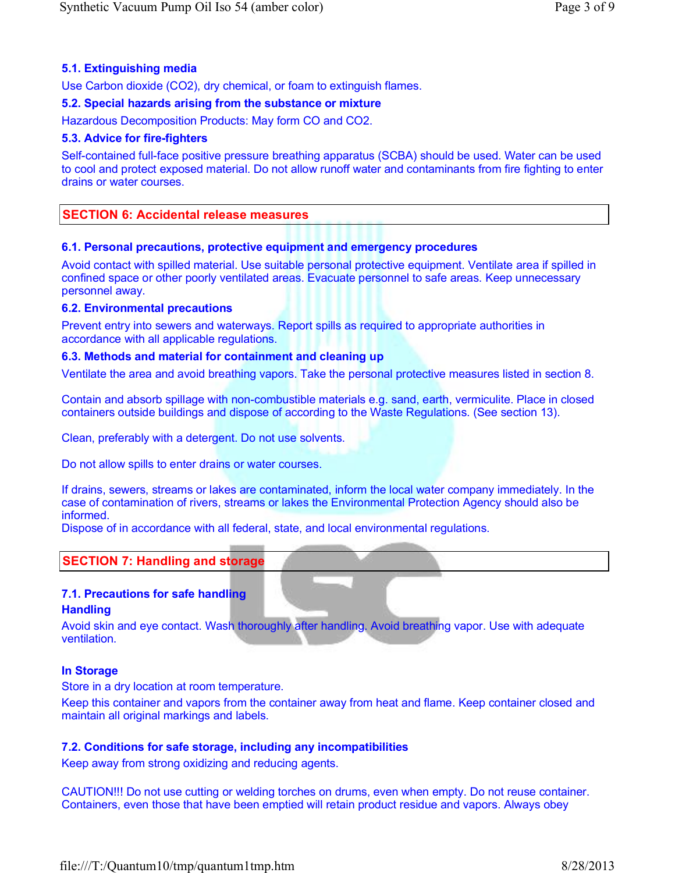# 5.1. Extinguishing media

Use Carbon dioxide (CO2), dry chemical, or foam to extinguish flames.

### 5.2. Special hazards arising from the substance or mixture

Hazardous Decomposition Products: May form CO and CO2.

### 5.3. Advice for fire-fighters

Self-contained full-face positive pressure breathing apparatus (SCBA) should be used. Water can be used to cool and protect exposed material. Do not allow runoff water and contaminants from fire fighting to enter drains or water courses.

## SECTION 6: Accidental release measures

### 6.1. Personal precautions, protective equipment and emergency procedures

Avoid contact with spilled material. Use suitable personal protective equipment. Ventilate area if spilled in confined space or other poorly ventilated areas. Evacuate personnel to safe areas. Keep unnecessary personnel away.

### 6.2. Environmental precautions

Prevent entry into sewers and waterways. Report spills as required to appropriate authorities in accordance with all applicable regulations.

### 6.3. Methods and material for containment and cleaning up

Ventilate the area and avoid breathing vapors. Take the personal protective measures listed in section 8.

Contain and absorb spillage with non-combustible materials e.g. sand, earth, vermiculite. Place in closed containers outside buildings and dispose of according to the Waste Regulations. (See section 13).

Clean, preferably with a detergent. Do not use solvents.

Do not allow spills to enter drains or water courses.

If drains, sewers, streams or lakes are contaminated, inform the local water company immediately. In the case of contamination of rivers, streams or lakes the Environmental Protection Agency should also be informed.

Dispose of in accordance with all federal, state, and local environmental regulations.

### SECTION 7: Handling and storage

### 7.1. Precautions for safe handling

### **Handling**

Avoid skin and eye contact. Wash thoroughly after handling. Avoid breathing vapor. Use with adequate ventilation.

### In Storage

Store in a dry location at room temperature.

Keep this container and vapors from the container away from heat and flame. Keep container closed and maintain all original markings and labels.

### 7.2. Conditions for safe storage, including any incompatibilities

Keep away from strong oxidizing and reducing agents.

CAUTION!!! Do not use cutting or welding torches on drums, even when empty. Do not reuse container. Containers, even those that have been emptied will retain product residue and vapors. Always obey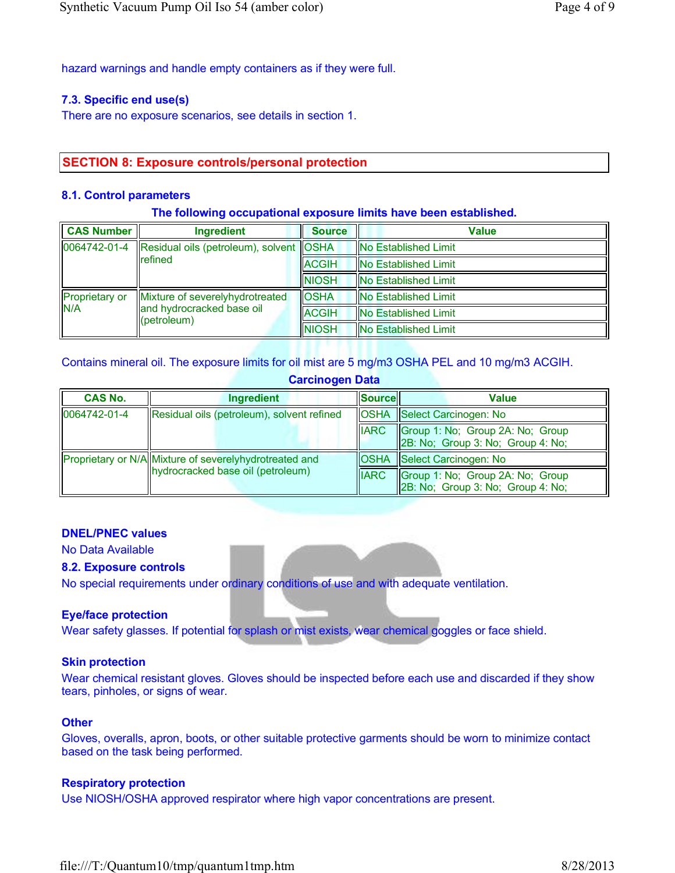hazard warnings and handle empty containers as if they were full.

### 7.3. Specific end use(s)

There are no exposure scenarios, see details in section 1.

# SECTION 8: Exposure controls/personal protection

### 8.1. Control parameters

### The following occupational exposure limits have been established.

| CAS Number                                                                                            | Ingredient    | <b>Source</b>               | Value                       |
|-------------------------------------------------------------------------------------------------------|---------------|-----------------------------|-----------------------------|
| 0064742-01-4<br>Residual oils (petroleum), solvent OSHA<br>Irefined                                   |               | <b>No Established Limit</b> |                             |
|                                                                                                       | <b>ACGIH</b>  | <b>No Established Limit</b> |                             |
|                                                                                                       |               | <b>INIOSH</b>               | <b>No Established Limit</b> |
| Proprietary or<br>Mixture of severelyhydrotreated<br>IN/A<br>and hydrocracked base oil<br>(petroleum) | <b>OSHA</b>   | <b>No Established Limit</b> |                             |
|                                                                                                       | <b>ACGIH</b>  | <b>No Established Limit</b> |                             |
|                                                                                                       | <b>INIOSH</b> | <b>No Established Limit</b> |                             |

### Contains mineral oil. The exposure limits for oil mist are 5 mg/m3 OSHA PEL and 10 mg/m3 ACGIH.

### Carcinogen Data

| <b>CAS No.</b> | Ingredient                                             | <b>Sourcell</b> | Value                                                                 |
|----------------|--------------------------------------------------------|-----------------|-----------------------------------------------------------------------|
| 0064742-01-4   | Residual oils (petroleum), solvent refined             |                 | <b>OSHA</b> Select Carcinogen: No                                     |
|                |                                                        | <b>IIARC</b>    | Group 1: No; Group 2A: No; Group<br>2B: No; Group 3: No; Group 4: No; |
|                | Proprietary or N/A Mixture of severelyhydrotreated and |                 | <b>OSHA</b> Select Carcinogen: No                                     |
|                | (Inydrocracked base oil (petroleum)                    | <b>IIARC</b>    | Group 1: No; Group 2A: No; Group<br>2B: No; Group 3: No; Group 4: No; |

## DNEL/PNEC values

No Data Available

### 8.2. Exposure controls

No special requirements under ordinary conditions of use and with adequate ventilation.

### Eye/face protection

Wear safety glasses. If potential for splash or mist exists, wear chemical goggles or face shield.

### Skin protection

Wear chemical resistant gloves. Gloves should be inspected before each use and discarded if they show tears, pinholes, or signs of wear.

### **Other**

Gloves, overalls, apron, boots, or other suitable protective garments should be worn to minimize contact based on the task being performed.

### Respiratory protection

Use NIOSH/OSHA approved respirator where high vapor concentrations are present.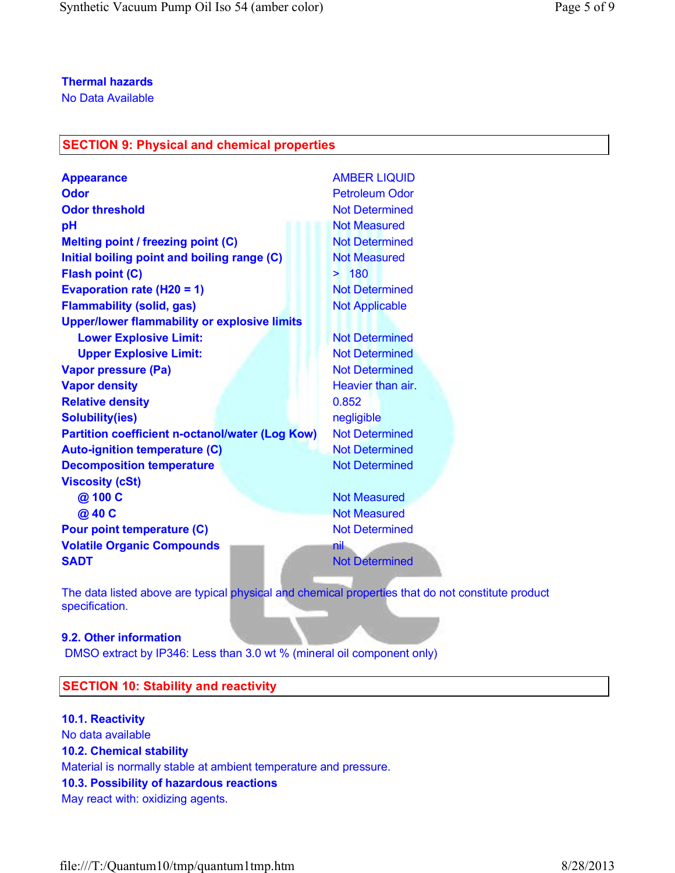No Data Available

# SECTION 9: Physical and chemical properties

| <b>Appearance</b>                                      | <b>AMBER LIQUID</b>   |
|--------------------------------------------------------|-----------------------|
| <b>Odor</b>                                            | <b>Petroleum Odor</b> |
| <b>Odor threshold</b>                                  | <b>Not Determined</b> |
| pH                                                     | <b>Not Measured</b>   |
| Melting point / freezing point (C)                     | <b>Not Determined</b> |
| Initial boiling point and boiling range (C)            | <b>Not Measured</b>   |
| <b>Flash point (C)</b>                                 | > 180                 |
| Evaporation rate (H20 = 1)                             | <b>Not Determined</b> |
| <b>Flammability (solid, gas)</b>                       | <b>Not Applicable</b> |
| <b>Upper/lower flammability or explosive limits</b>    |                       |
| <b>Lower Explosive Limit:</b>                          | <b>Not Determined</b> |
| <b>Upper Explosive Limit:</b>                          | <b>Not Determined</b> |
| <b>Vapor pressure (Pa)</b>                             | <b>Not Determined</b> |
| <b>Vapor density</b>                                   | Heavier than air.     |
| <b>Relative density</b>                                | 0.852                 |
| <b>Solubility(ies)</b>                                 | negligible            |
| <b>Partition coefficient n-octanol/water (Log Kow)</b> | <b>Not Determined</b> |
| <b>Auto-ignition temperature (C)</b>                   | <b>Not Determined</b> |
| <b>Decomposition temperature</b>                       | <b>Not Determined</b> |
| <b>Viscosity (cSt)</b>                                 |                       |
| @ 100 C                                                | <b>Not Measured</b>   |
| @ 40 C                                                 | <b>Not Measured</b>   |
| <b>Pour point temperature (C)</b>                      | <b>Not Determined</b> |
| <b>Volatile Organic Compounds</b>                      | nil                   |
| <b>SADT</b>                                            | <b>Not Determined</b> |
|                                                        |                       |

The data listed above are typical physical and chemical properties that do not constitute product specification.

### 9.2. Other information

DMSO extract by IP346: Less than 3.0 wt % (mineral oil component only)

# SECTION 10: Stability and reactivity

10.1. Reactivity No data available 10.2. Chemical stability Material is normally stable at ambient temperature and pressure. 10.3. Possibility of hazardous reactions May react with: oxidizing agents.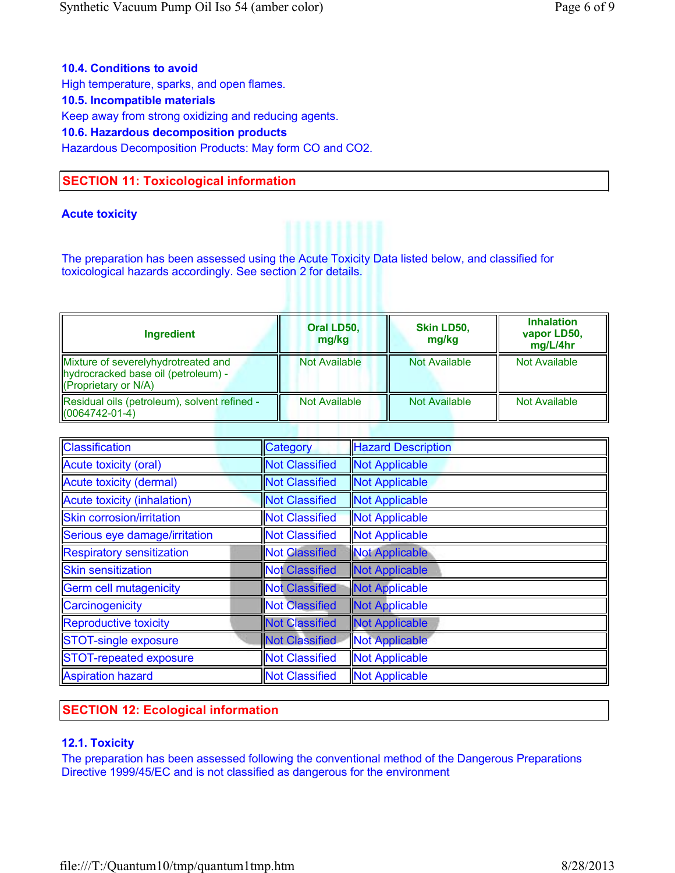# 10.4. Conditions to avoid

High temperature, sparks, and open flames.

### 10.5. Incompatible materials

Keep away from strong oxidizing and reducing agents.

### 10.6. Hazardous decomposition products

Hazardous Decomposition Products: May form CO and CO2.

# SECTION 11: Toxicological information

### Acute toxicity

The preparation has been assessed using the Acute Toxicity Data listed below, and classified for toxicological hazards accordingly. See section 2 for details.

| <b>Ingredient</b>                                                                                  | Oral LD50,<br>mg/kg  | Skin LD50,<br>mg/kg  | <b>Inhalation</b><br>vapor LD50,<br>mg/L/4hr |
|----------------------------------------------------------------------------------------------------|----------------------|----------------------|----------------------------------------------|
| Mixture of severelyhydrotreated and<br>hydrocracked base oil (petroleum) -<br>(Proprietary or N/A) | <b>Not Available</b> | <b>Not Available</b> | <b>Not Available</b>                         |
| Residual oils (petroleum), solvent refined -<br>$I(0064742-01-4)$                                  | <b>Not Available</b> | <b>Not Available</b> | <b>Not Available</b>                         |

| Classification                | Category              | <b>Hazard Description</b> |
|-------------------------------|-----------------------|---------------------------|
| Acute toxicity (oral)         | <b>Not Classified</b> | Not Applicable            |
| Acute toxicity (dermal)       | <b>Not Classified</b> | <b>Not Applicable</b>     |
| Acute toxicity (inhalation)   | <b>Not Classified</b> | <b>Not Applicable</b>     |
| Skin corrosion/irritation     | <b>Not Classified</b> | <b>Not Applicable</b>     |
| Serious eye damage/irritation | <b>Not Classified</b> | <b>Not Applicable</b>     |
| Respiratory sensitization     | <b>Not Classified</b> | <b>Not Applicable</b>     |
| <b>Skin sensitization</b>     | <b>Not Classified</b> | <b>Not Applicable</b>     |
| Germ cell mutagenicity        | <b>Not Classified</b> | <b>Not Applicable</b>     |
| Carcinogenicity               | <b>Not Classified</b> | <b>Not Applicable</b>     |
| Reproductive toxicity         | <b>Not Classified</b> | <b>Not Applicable</b>     |
| STOT-single exposure          | <b>Not Classified</b> | <b>Not Applicable</b>     |
| STOT-repeated exposure        | <b>Not Classified</b> | <b>Not Applicable</b>     |
| Aspiration hazard             | <b>Not Classified</b> | <b>Not Applicable</b>     |

# SECTION 12: Ecological information

### 12.1. Toxicity

The preparation has been assessed following the conventional method of the Dangerous Preparations Directive 1999/45/EC and is not classified as dangerous for the environment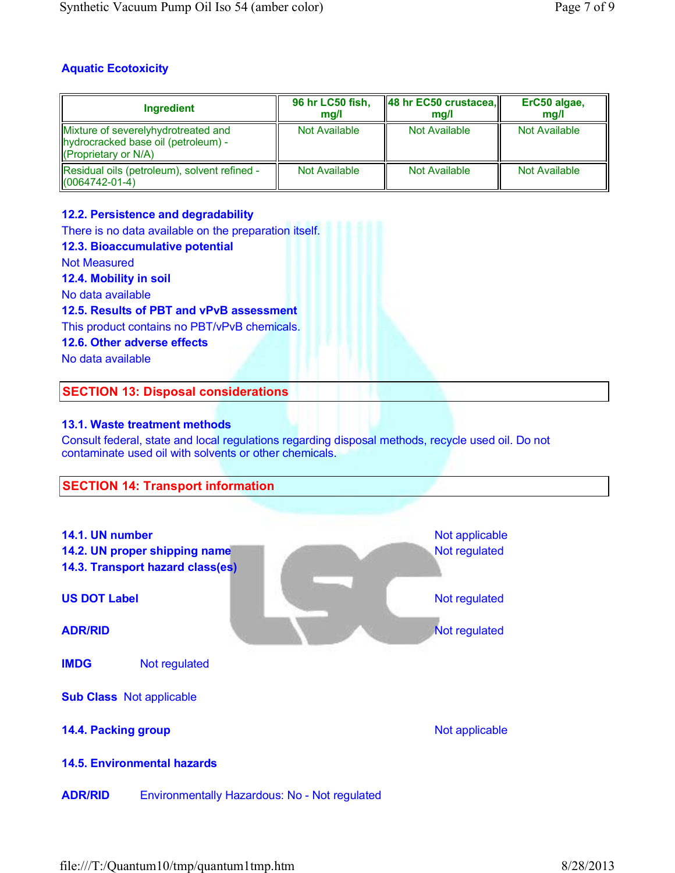# Aquatic Ecotoxicity

| Ingredient                                                                                                              | 96 hr LC50 fish,<br>ma/l | $\ $ 48 hr EC50 crustacea,<br>ma/l | ErC50 algae,<br>ma/l |
|-------------------------------------------------------------------------------------------------------------------------|--------------------------|------------------------------------|----------------------|
| Mixture of severelyhydrotreated and<br>hydrocracked base oil (petroleum) -<br>$\sqrt{\frac{P}{P}}$ (Proprietary or N/A) | Not Available            | Not Available                      | Not Available        |
| Residual oils (petroleum), solvent refined -<br>$I(0064742-01-4)$                                                       | Not Available            | Not Available                      | Not Available        |

# 12.2. Persistence and degradability

There is no data available on the preparation itself. 12.3. Bioaccumulative potential Not Measured 12.4. Mobility in soil No data available 12.5. Results of PBT and vPvB assessment This product contains no PBT/vPvB chemicals. 12.6. Other adverse effects No data available SECTION 13: Disposal considerations

# 13.1. Waste treatment methods

Consult federal, state and local regulations regarding disposal methods, recycle used oil. Do not contaminate used oil with solvents or other chemicals.

# SECTION 14: Transport information

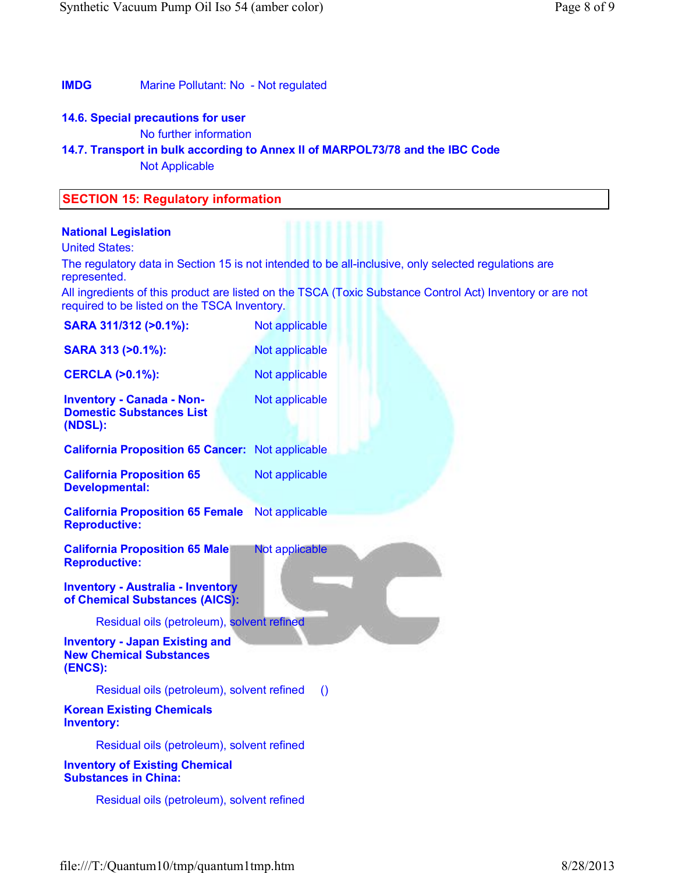## IMDG Marine Pollutant: No - Not regulated

# 14.6. Special precautions for user

No further information

# 14.7. Transport in bulk according to Annex II of MARPOL73/78 and the IBC Code

Not Applicable

# SECTION 15: Regulatory information

### National Legislation

United States:

The regulatory data in Section 15 is not intended to be all-inclusive, only selected regulations are represented.

All ingredients of this product are listed on the TSCA (Toxic Substance Control Act) Inventory or are not required to be listed on the TSCA Inventory.

| SARA 311/312 (>0.1%):                                                              | Not applicable   |
|------------------------------------------------------------------------------------|------------------|
| SARA 313 (>0.1%):                                                                  | Not applicable   |
| <b>CERCLA (&gt;0.1%):</b>                                                          | Not applicable   |
| <b>Inventory - Canada - Non-</b><br><b>Domestic Substances List</b><br>(NDSL):     | Not applicable   |
| <b>California Proposition 65 Cancer: Not applicable</b>                            |                  |
| <b>California Proposition 65</b><br><b>Developmental:</b>                          | Not applicable   |
| <b>California Proposition 65 Female</b><br><b>Reproductive:</b>                    | Not applicable   |
| <b>California Proposition 65 Male</b><br><b>Reproductive:</b>                      | Not applicable   |
| <b>Inventory - Australia - Inventory</b><br>of Chemical Substances (AICS):         |                  |
| Residual oils (petroleum), solvent refined                                         |                  |
| <b>Inventory - Japan Existing and</b><br><b>New Chemical Substances</b><br>(ENCS): |                  |
| Residual oils (petroleum), solvent refined                                         | $\left( \right)$ |
| <b>Korean Existing Chemicals</b><br><b>Inventory:</b>                              |                  |
| Residual oils (petroleum), solvent refined                                         |                  |
| <b>Inventory of Existing Chemical</b><br><b>Substances in China:</b>               |                  |
| Residual oils (petroleum), solvent refined                                         |                  |